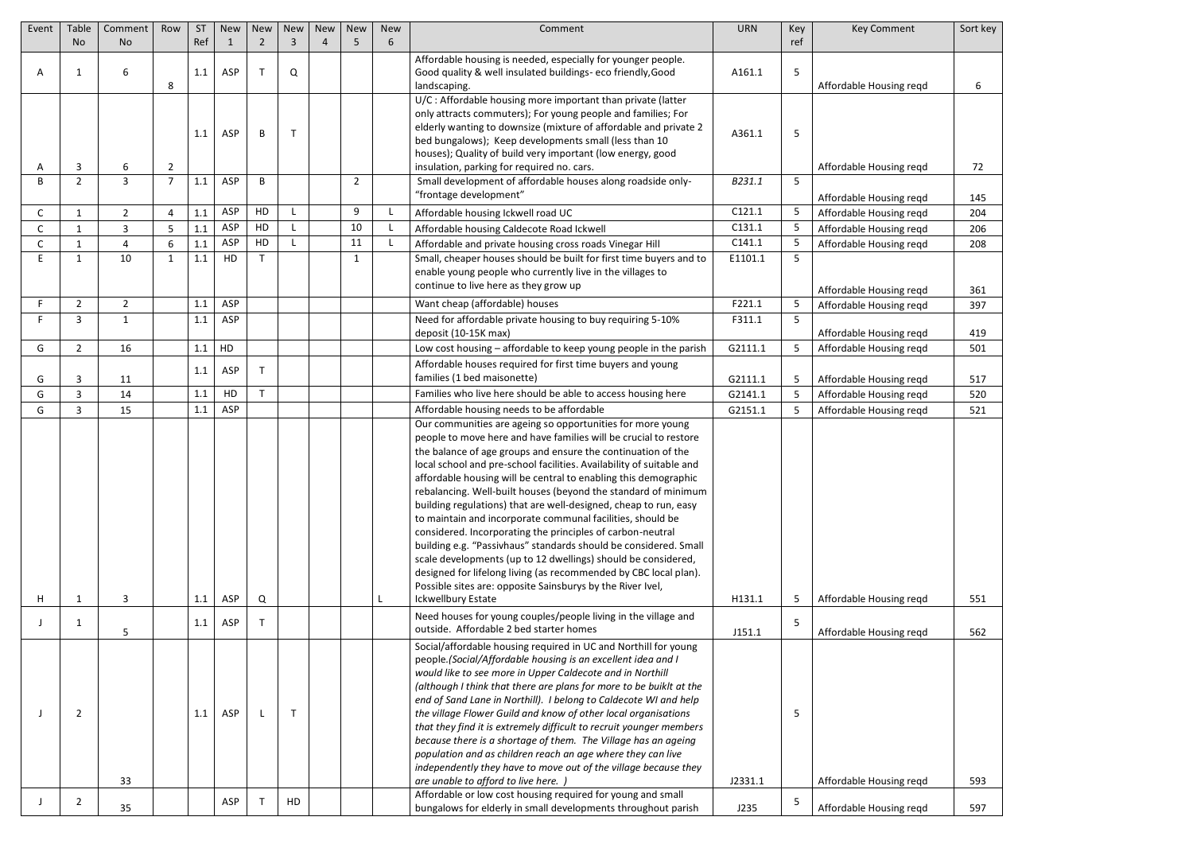| Event | Table               | Comment        | Row                 | <b>ST</b> | <b>New</b> | <b>New</b>     | <b>New</b>   | <b>New</b>     | <b>New</b>     | <b>New</b>   | Comment                                                                                                                                                                                                                                                                                                                                                                                                                                                                                                                                                                                                                                                                                                                                                                                                                                                                                                  | <b>URN</b> | Key    | <b>Key Comment</b>                                 | Sort key  |
|-------|---------------------|----------------|---------------------|-----------|------------|----------------|--------------|----------------|----------------|--------------|----------------------------------------------------------------------------------------------------------------------------------------------------------------------------------------------------------------------------------------------------------------------------------------------------------------------------------------------------------------------------------------------------------------------------------------------------------------------------------------------------------------------------------------------------------------------------------------------------------------------------------------------------------------------------------------------------------------------------------------------------------------------------------------------------------------------------------------------------------------------------------------------------------|------------|--------|----------------------------------------------------|-----------|
|       | <b>No</b>           | <b>No</b>      |                     | Ref       |            | $\overline{2}$ | 3            | $\overline{4}$ | 5              | 6            |                                                                                                                                                                                                                                                                                                                                                                                                                                                                                                                                                                                                                                                                                                                                                                                                                                                                                                          |            | ref    |                                                    |           |
| A     | -1                  | 6              | 8                   | 1.1       | ASP        | $\mathsf{T}$   | Q            |                |                |              | Affordable housing is needed, especially for younger people.<br>Good quality & well insulated buildings-eco friendly, Good<br>landscaping.<br>U/C: Affordable housing more important than private (latter                                                                                                                                                                                                                                                                                                                                                                                                                                                                                                                                                                                                                                                                                                | A161.1     | 5      | Affordable Housing reqd                            | 6         |
|       |                     |                |                     | 1.1       | ASP        | B              | $\mathsf{T}$ |                |                |              | only attracts commuters); For young people and families; For<br>elderly wanting to downsize (mixture of affordable and private 2<br>bed bungalows); Keep developments small (less than 10<br>houses); Quality of build very important (low energy, good                                                                                                                                                                                                                                                                                                                                                                                                                                                                                                                                                                                                                                                  | A361.1     | 5      |                                                    |           |
| B     | 3<br>$\overline{2}$ | 6<br>3         | $\overline{2}$<br>7 | 1.1       | ASP        | B              |              |                | $\overline{2}$ |              | insulation, parking for required no. cars.<br>Small development of affordable houses along roadside only-<br>"frontage development"                                                                                                                                                                                                                                                                                                                                                                                                                                                                                                                                                                                                                                                                                                                                                                      | B231.1     | 5      | Affordable Housing regd                            | 72<br>145 |
| C     | $\mathbf{1}$        | $\overline{2}$ | $\overline{4}$      | 1.1       | ASP        | HD             |              |                | 9              | L.           | Affordable housing Ickwell road UC                                                                                                                                                                                                                                                                                                                                                                                                                                                                                                                                                                                                                                                                                                                                                                                                                                                                       | C121.1     | 5      | Affordable Housing regd<br>Affordable Housing regd | 204       |
|       | -1                  | 3              | -5                  | 1.1       | ASP        | HD             |              |                | 10             | $\mathsf{L}$ | Affordable housing Caldecote Road Ickwell                                                                                                                                                                                                                                                                                                                                                                                                                                                                                                                                                                                                                                                                                                                                                                                                                                                                | C131.1     | 5.     | Affordable Housing reqd                            | 206       |
| C     | $\mathbf{1}$        | 4              | 6                   | 1.1       | ASP        | HD             |              |                | 11             | $\mathsf{L}$ | Affordable and private housing cross roads Vinegar Hill                                                                                                                                                                                                                                                                                                                                                                                                                                                                                                                                                                                                                                                                                                                                                                                                                                                  | C141.1     |        | Affordable Housing reqd                            | 208       |
| F     | $\mathbf{1}$        | 10             | -1                  | 1.1       | HD         | $\mathsf{T}$   |              |                | -1             |              | Small, cheaper houses should be built for first time buyers and to<br>enable young people who currently live in the villages to<br>continue to live here as they grow up                                                                                                                                                                                                                                                                                                                                                                                                                                                                                                                                                                                                                                                                                                                                 | E1101.1    | 5      |                                                    |           |
| F     |                     | $\overline{2}$ |                     | 1.1       | ASP        |                |              |                |                |              |                                                                                                                                                                                                                                                                                                                                                                                                                                                                                                                                                                                                                                                                                                                                                                                                                                                                                                          | F221.1     |        | Affordable Housing reqd                            | 361       |
| F     | $\overline{2}$<br>3 | $\mathbf{1}$   |                     | 1.1       | ASP        |                |              |                |                |              | Want cheap (affordable) houses<br>Need for affordable private housing to buy requiring 5-10%                                                                                                                                                                                                                                                                                                                                                                                                                                                                                                                                                                                                                                                                                                                                                                                                             | F311.1     | 5<br>5 | Affordable Housing reqd                            | 397       |
|       |                     |                |                     |           |            |                |              |                |                |              | deposit (10-15K max)                                                                                                                                                                                                                                                                                                                                                                                                                                                                                                                                                                                                                                                                                                                                                                                                                                                                                     |            |        | Affordable Housing reqd                            | 419       |
| G     | $\overline{2}$      | 16             |                     | 1.1       | HD         |                |              |                |                |              | Low cost housing - affordable to keep young people in the parish                                                                                                                                                                                                                                                                                                                                                                                                                                                                                                                                                                                                                                                                                                                                                                                                                                         | G2111.1    | 5      | Affordable Housing reqd                            | 501       |
| G     | 3                   | 11             |                     | 1.1       | ASP        | $\mathsf{T}$   |              |                |                |              | Affordable houses required for first time buyers and young<br>families (1 bed maisonette)                                                                                                                                                                                                                                                                                                                                                                                                                                                                                                                                                                                                                                                                                                                                                                                                                | G2111.1    | 5      | Affordable Housing reqd                            | 517       |
| G     | 3                   | 14             |                     | 1.1       | HD         | T              |              |                |                |              | Families who live here should be able to access housing here                                                                                                                                                                                                                                                                                                                                                                                                                                                                                                                                                                                                                                                                                                                                                                                                                                             | G2141.1    |        | Affordable Housing reqd                            | 520       |
| G     | 3                   | 15             |                     | 1.1       | ASP        |                |              |                |                |              | Affordable housing needs to be affordable                                                                                                                                                                                                                                                                                                                                                                                                                                                                                                                                                                                                                                                                                                                                                                                                                                                                | G2151.1    | 5.     | Affordable Housing regd                            | 521       |
| Η     | $\mathbf{1}$        | 3              |                     | 1.1       | ASP        | Q              |              |                |                | L.           | Our communities are ageing so opportunities for more young<br>people to move here and have families will be crucial to restore<br>the balance of age groups and ensure the continuation of the<br>local school and pre-school facilities. Availability of suitable and<br>affordable housing will be central to enabling this demographic<br>rebalancing. Well-built houses (beyond the standard of minimum<br>building regulations) that are well-designed, cheap to run, easy<br>to maintain and incorporate communal facilities, should be<br>considered. Incorporating the principles of carbon-neutral<br>building e.g. "Passivhaus" standards should be considered. Small<br>scale developments (up to 12 dwellings) should be considered,<br>designed for lifelong living (as recommended by CBC local plan).<br>Possible sites are: opposite Sainsburys by the River Ivel,<br>Ickwellbury Estate | H131.1     | 5      | Affordable Housing reqd                            | 551       |
|       |                     |                |                     |           |            |                |              |                |                |              | Need houses for young couples/people living in the village and                                                                                                                                                                                                                                                                                                                                                                                                                                                                                                                                                                                                                                                                                                                                                                                                                                           |            |        |                                                    |           |
|       | $\mathbf{1}$        | 5              |                     | 1.1       | ASP        | $\mathsf{T}$   |              |                |                |              | outside. Affordable 2 bed starter homes<br>Social/affordable housing required in UC and Northill for young                                                                                                                                                                                                                                                                                                                                                                                                                                                                                                                                                                                                                                                                                                                                                                                               | J151.1     | 5      | Affordable Housing regd                            | 562       |
|       | $\overline{2}$      | 33             |                     | 1.1       | ASP        | L              | $\mathsf{T}$ |                |                |              | people. (Social/Affordable housing is an excellent idea and I<br>would like to see more in Upper Caldecote and in Northill<br>(although I think that there are plans for more to be buiklt at the<br>end of Sand Lane in Northill). I belong to Caldecote WI and help<br>the village Flower Guild and know of other local organisations<br>that they find it is extremely difficult to recruit younger members<br>because there is a shortage of them. The Village has an ageing<br>population and as children reach an age where they can live<br>independently they have to move out of the village because they<br>are unable to afford to live here.                                                                                                                                                                                                                                                 | J2331.1    | 5      | Affordable Housing reqd                            | 593       |
|       | $\overline{2}$      | 35             |                     |           | ASP        | $\top$         | HD           |                |                |              | Affordable or low cost housing required for young and small<br>bungalows for elderly in small developments throughout parish                                                                                                                                                                                                                                                                                                                                                                                                                                                                                                                                                                                                                                                                                                                                                                             | J235       | 5      | Affordable Housing reqd                            | 597       |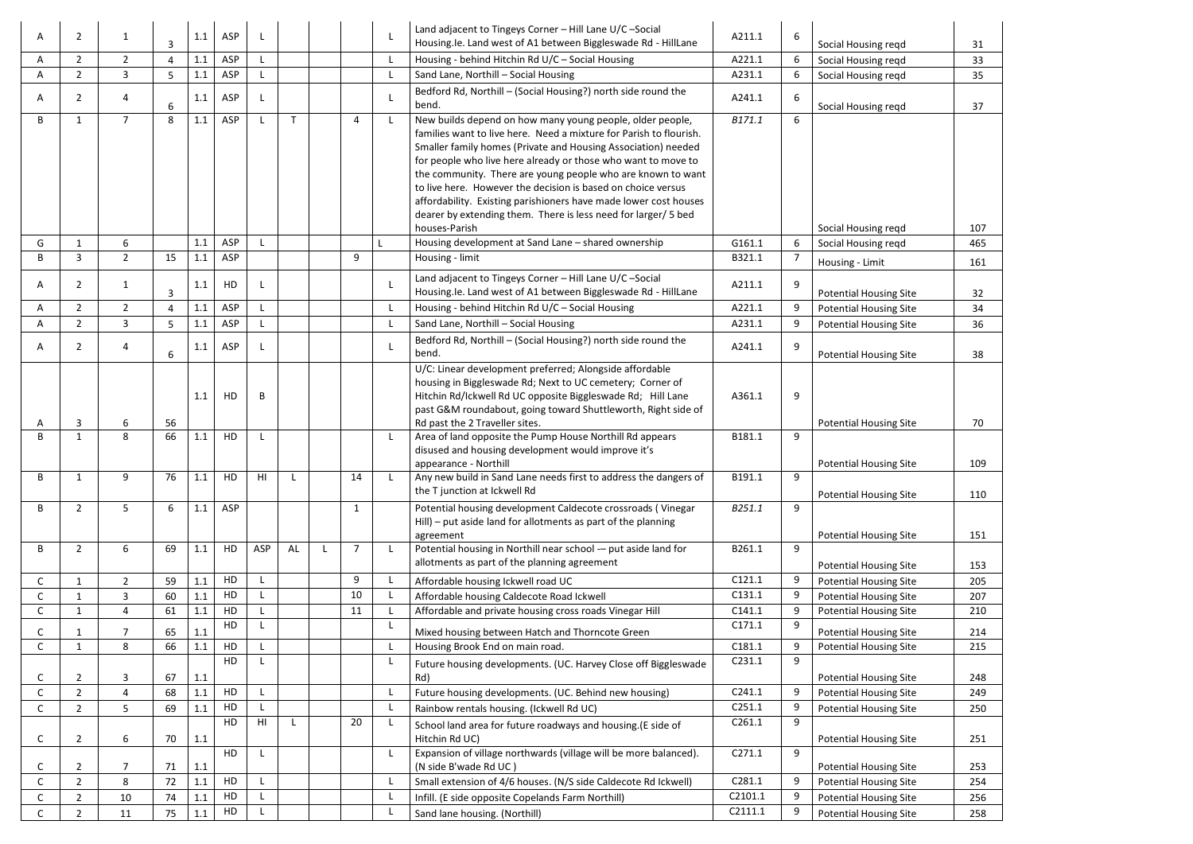| A | $\overline{2}$ |                | 3              | 1.1 | <b>ASP</b> |              |    |                |              | Land adjacent to Tingeys Corner - Hill Lane U/C-Social<br>Housing.le. Land west of A1 between Biggleswade Rd - HillLane         | A211.1            | 6      | Social Housing reqd           | 31  |
|---|----------------|----------------|----------------|-----|------------|--------------|----|----------------|--------------|---------------------------------------------------------------------------------------------------------------------------------|-------------------|--------|-------------------------------|-----|
| A | $\overline{2}$ | $\overline{2}$ | 4              | 1.1 | ASP        |              |    |                | L.           | Housing - behind Hitchin Rd U/C - Social Housing                                                                                | A221.1            | 6      | Social Housing reqd           | 33  |
| A | $\overline{2}$ | $\overline{3}$ | 5              | 1.1 | ASP        |              |    |                |              | Sand Lane, Northill - Social Housing                                                                                            | A231.1            | 6      | Social Housing reqd           | 35  |
| А | $\overline{2}$ | 4              |                | 1.1 | ASP        |              |    |                |              | Bedford Rd, Northill - (Social Housing?) north side round the<br>bend.                                                          | A241.1            | 6      |                               |     |
| B |                | $\overline{7}$ | 6<br>8         |     | ASP        | $\mathsf{L}$ | T  | 4              |              |                                                                                                                                 |                   |        | Social Housing reqd           | 37  |
|   | $\mathbf{1}$   |                |                | 1.1 |            |              |    |                | $\mathsf{L}$ | New builds depend on how many young people, older people,<br>families want to live here. Need a mixture for Parish to flourish. | B171.1            | 6      |                               |     |
|   |                |                |                |     |            |              |    |                |              | Smaller family homes (Private and Housing Association) needed                                                                   |                   |        |                               |     |
|   |                |                |                |     |            |              |    |                |              | for people who live here already or those who want to move to                                                                   |                   |        |                               |     |
|   |                |                |                |     |            |              |    |                |              | the community. There are young people who are known to want                                                                     |                   |        |                               |     |
|   |                |                |                |     |            |              |    |                |              | to live here. However the decision is based on choice versus                                                                    |                   |        |                               |     |
|   |                |                |                |     |            |              |    |                |              | affordability. Existing parishioners have made lower cost houses                                                                |                   |        |                               |     |
|   |                |                |                |     |            |              |    |                |              | dearer by extending them. There is less need for larger/ 5 bed                                                                  |                   |        |                               |     |
|   |                |                |                |     |            |              |    |                |              | houses-Parish                                                                                                                   |                   |        | Social Housing regd           | 107 |
| G | 1              | 6              |                | 1.1 | ASP        |              |    |                |              | Housing development at Sand Lane - shared ownership                                                                             | G161.1            | 6      | Social Housing regd           | 465 |
| B | 3              | $2^{\circ}$    | 15             | 1.1 | ASP        |              |    | 9              |              | Housing - limit                                                                                                                 | B321.1            |        | Housing - Limit               | 161 |
| A | $\overline{2}$ | 1              |                | 1.1 | HD         | L            |    |                |              | Land adjacent to Tingeys Corner - Hill Lane U/C-Social                                                                          | A211.1            | 9      |                               |     |
|   |                |                | 3              |     |            |              |    |                |              | Housing.le. Land west of A1 between Biggleswade Rd - HillLane                                                                   |                   |        | <b>Potential Housing Site</b> | 32  |
| А | $\overline{2}$ | $\overline{2}$ | $\overline{a}$ | 1.1 | ASP        |              |    |                |              | Housing - behind Hitchin Rd U/C - Social Housing                                                                                | A221.1            | 9      | <b>Potential Housing Site</b> | 34  |
| А | $\overline{2}$ | 3              | 5              | 1.1 | ASP        |              |    |                | L.           | Sand Lane, Northill - Social Housing                                                                                            | A231.1            |        | <b>Potential Housing Site</b> | 36  |
| А | $\overline{2}$ | 4              |                | 1.1 | ASP        | L            |    |                |              | Bedford Rd, Northill - (Social Housing?) north side round the                                                                   | A241.1            | 9      |                               |     |
|   |                |                | 6              |     |            |              |    |                |              | bend.                                                                                                                           |                   |        | <b>Potential Housing Site</b> | 38  |
|   |                |                |                |     |            |              |    |                |              | U/C: Linear development preferred; Alongside affordable                                                                         |                   |        |                               |     |
|   |                |                |                |     |            |              |    |                |              | housing in Biggleswade Rd; Next to UC cemetery; Corner of                                                                       |                   |        |                               |     |
|   |                |                |                | 1.1 | HD         | B            |    |                |              | Hitchin Rd/Ickwell Rd UC opposite Biggleswade Rd; Hill Lane                                                                     | A361.1            | 9      |                               |     |
|   | 3              | 6              | 56             |     |            |              |    |                |              | past G&M roundabout, going toward Shuttleworth, Right side of<br>Rd past the 2 Traveller sites.                                 |                   |        | <b>Potential Housing Site</b> | 70  |
| B | $\mathbf{1}$   | 8              | 66             | 1.1 | HD         | $\mathsf{L}$ |    |                | $\mathsf{L}$ | Area of land opposite the Pump House Northill Rd appears                                                                        | B181.1            | 9      |                               |     |
|   |                |                |                |     |            |              |    |                |              | disused and housing development would improve it's                                                                              |                   |        |                               |     |
|   |                |                |                |     |            |              |    |                |              | appearance - Northill                                                                                                           |                   |        | <b>Potential Housing Site</b> | 109 |
| B | 1              | 9              | 76             | 1.1 | HD         | HI           |    | 14             |              | Any new build in Sand Lane needs first to address the dangers of                                                                | B191.1            | 9      |                               |     |
|   |                |                |                |     |            |              |    |                |              | the T junction at Ickwell Rd                                                                                                    |                   |        | <b>Potential Housing Site</b> | 110 |
| B | $\overline{2}$ | 5              | 6              | 1.1 | ASP        |              |    | 1              |              | Potential housing development Caldecote crossroads (Vinegar                                                                     | B251.1            | 9      |                               |     |
|   |                |                |                |     |            |              |    |                |              | Hill) – put aside land for allotments as part of the planning                                                                   |                   |        |                               |     |
|   |                |                |                |     |            |              |    |                |              | agreement                                                                                                                       |                   |        | <b>Potential Housing Site</b> | 151 |
| В | $\overline{2}$ | 6              | 69             | 1.1 | HD         | ASP          | AL | $\overline{7}$ |              | Potential housing in Northill near school - put aside land for<br>allotments as part of the planning agreement                  | B261.1            | 9      |                               |     |
|   |                |                |                |     |            |              |    |                |              |                                                                                                                                 |                   |        | <b>Potential Housing Site</b> | 153 |
| С | $\mathbf{1}$   | $2^{\circ}$    | 59             | 1.1 | HD         | L            |    | 9              |              | Affordable housing Ickwell road UC                                                                                              | C121.1            | 9      | <b>Potential Housing Site</b> | 205 |
|   | 1              | 3              | 60             | 1.1 | HD         |              |    | 10             |              | Affordable housing Caldecote Road Ickwell                                                                                       | C131.1            | 9      | <b>Potential Housing Site</b> | 207 |
| С | 1              | 4              | 61             | 1.1 | HD<br>HD   | L            |    | 11             |              | Affordable and private housing cross roads Vinegar Hill                                                                         | C141.1<br>C171.1  | 9<br>9 | <b>Potential Housing Site</b> | 210 |
|   | -1             | 7              | 65             | 1.1 |            |              |    |                |              | Mixed housing between Hatch and Thorncote Green                                                                                 |                   |        | <b>Potential Housing Site</b> | 214 |
| с | $\mathbf{1}$   | 8              | 66             | 1.1 | HD         | L            |    |                |              | Housing Brook End on main road.                                                                                                 | C181.1            |        | <b>Potential Housing Site</b> | 215 |
|   |                |                |                |     | HD         |              |    |                |              | Future housing developments. (UC. Harvey Close off Biggleswade                                                                  | C231.1            | 9      |                               |     |
|   | $\overline{2}$ | 3              | 67             | 1.1 |            |              |    |                |              | Rd)                                                                                                                             |                   |        | <b>Potential Housing Site</b> | 248 |
|   | $\overline{2}$ | 4              | 68             | 1.1 | HD         |              |    |                |              | Future housing developments. (UC. Behind new housing)                                                                           | C241.1            | 9      | <b>Potential Housing Site</b> | 249 |
| С | $\overline{2}$ | 5              | 69             | 1.1 | HD         |              |    |                |              | Rainbow rentals housing. (Ickwell Rd UC)                                                                                        | C251.1            |        | <b>Potential Housing Site</b> | 250 |
|   |                |                |                |     | HD         | HI           |    | 20             | L.           | School land area for future roadways and housing.(E side of                                                                     | C261.1            | 9      |                               |     |
|   | $\overline{2}$ | 6              | 70             | 1.1 |            |              |    |                |              | Hitchin Rd UC)                                                                                                                  |                   |        | <b>Potential Housing Site</b> | 251 |
|   |                |                |                |     | HD         | L            |    |                |              | Expansion of village northwards (village will be more balanced).                                                                | C271.1            | 9      |                               |     |
|   | $\overline{2}$ | 7              | 71             | 1.1 | HD         |              |    |                |              | (N side B'wade Rd UC)                                                                                                           |                   |        | <b>Potential Housing Site</b> | 253 |
|   | $\overline{2}$ | 8              | 72             | 1.1 | HD         |              |    |                |              | Small extension of 4/6 houses. (N/S side Caldecote Rd Ickwell)                                                                  | C281.1<br>C2101.1 | 9      | <b>Potential Housing Site</b> | 254 |
|   | $\overline{2}$ | 10             | 74             | 1.1 |            |              |    |                |              | Infill. (E side opposite Copelands Farm Northill)                                                                               |                   | 9      | <b>Potential Housing Site</b> | 256 |
|   | $\overline{2}$ | 11             | 75             | 1.1 | HD         |              |    |                |              | Sand lane housing. (Northill)                                                                                                   | C2111.1           | 9      | <b>Potential Housing Site</b> | 258 |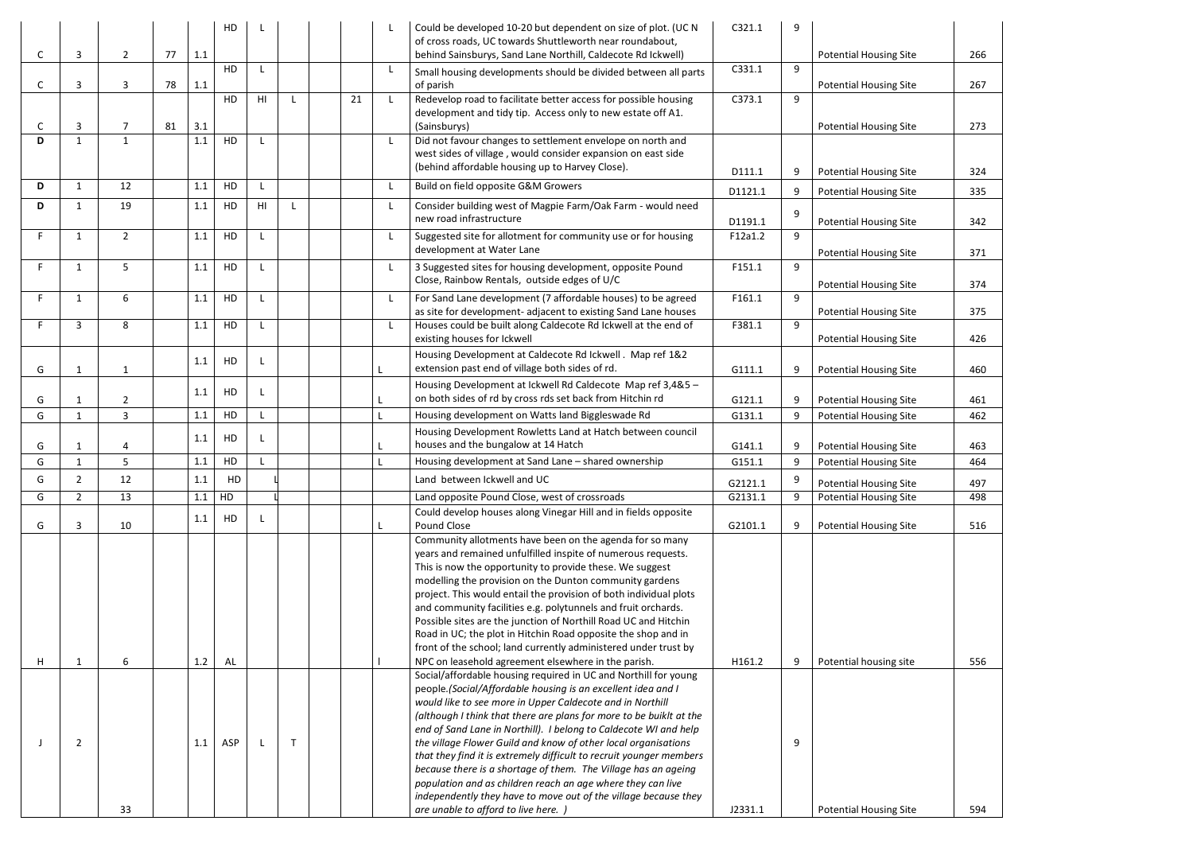|   |                              |                |    |     | HD  |                |              |    |    | Could be developed 10-20 but dependent on size of plot. (UC N<br>of cross roads, UC towards Shuttleworth near roundabout,             | C321.1  | 9 |                               |     |
|---|------------------------------|----------------|----|-----|-----|----------------|--------------|----|----|---------------------------------------------------------------------------------------------------------------------------------------|---------|---|-------------------------------|-----|
| C | 3                            | $\overline{2}$ | 77 | 1.1 | HD  | $\mathsf{L}$   |              |    | L. | behind Sainsburys, Sand Lane Northill, Caldecote Rd Ickwell)<br>Small housing developments should be divided between all parts        | C331.1  | 9 | <b>Potential Housing Site</b> | 266 |
| C | 3                            | 3              | 78 | 1.1 | HD  | H <sub>l</sub> |              | 21 | L. | of parish<br>Redevelop road to facilitate better access for possible housing                                                          | C373.1  | 9 | <b>Potential Housing Site</b> | 267 |
| C | $\overline{3}$               | 7              | 81 | 3.1 |     |                |              |    |    | development and tidy tip. Access only to new estate off A1.<br>(Sainsburys)                                                           |         |   | <b>Potential Housing Site</b> | 273 |
| D | $\mathbf{1}$                 | $\mathbf{1}$   |    | 1.1 | HD  | L              |              |    | L. | Did not favour changes to settlement envelope on north and<br>west sides of village, would consider expansion on east side            |         |   |                               |     |
|   |                              |                |    |     |     |                |              |    |    | (behind affordable housing up to Harvey Close).                                                                                       | D111.1  | 9 | <b>Potential Housing Site</b> | 324 |
| D | $\mathbf{1}$                 | 12             |    | 1.1 | HD  | $\mathsf{L}$   |              |    | L. | Build on field opposite G&M Growers                                                                                                   | D1121.1 | 9 | <b>Potential Housing Site</b> | 335 |
| D | $\mathbf{1}$                 | 19             |    | 1.1 | HD  | H <sub>1</sub> |              |    | L  | Consider building west of Magpie Farm/Oak Farm - would need<br>new road infrastructure                                                | D1191.1 | 9 | <b>Potential Housing Site</b> | 342 |
| F | 1                            | $\overline{2}$ |    | 1.1 | HD  | L              |              |    | L. | Suggested site for allotment for community use or for housing<br>development at Water Lane                                            | F12a1.2 | 9 |                               |     |
| F |                              |                |    |     | HD  |                |              |    |    |                                                                                                                                       |         | 9 | <b>Potential Housing Site</b> | 371 |
|   | $\mathbf{1}$                 | 5              |    | 1.1 |     | L              |              |    | L. | 3 Suggested sites for housing development, opposite Pound<br>Close, Rainbow Rentals, outside edges of U/C                             | F151.1  |   | <b>Potential Housing Site</b> | 374 |
| F | 1                            | 6              |    | 1.1 | HD  | $\mathsf{L}$   |              |    | L. | For Sand Lane development (7 affordable houses) to be agreed<br>as site for development- adjacent to existing Sand Lane houses        | F161.1  | 9 |                               | 375 |
| Е | 3                            | 8              |    | 1.1 | HD  | $\mathsf{L}$   |              |    | L  | Houses could be built along Caldecote Rd Ickwell at the end of                                                                        | F381.1  | 9 | <b>Potential Housing Site</b> |     |
|   |                              |                |    |     |     |                |              |    |    | existing houses for Ickwell                                                                                                           |         |   | <b>Potential Housing Site</b> | 426 |
|   |                              |                |    | 1.1 | HD  | L              |              |    |    | Housing Development at Caldecote Rd Ickwell . Map ref 1&2                                                                             |         |   |                               |     |
| G | $\mathbf{1}$                 | $\mathbf{1}$   |    |     |     |                |              |    |    | extension past end of village both sides of rd.                                                                                       | G111.1  | 9 | <b>Potential Housing Site</b> | 460 |
| G |                              | $\overline{2}$ |    | 1.1 | HD  | L              |              | L  |    | Housing Development at Ickwell Rd Caldecote Map ref 3,4&5 -<br>on both sides of rd by cross rds set back from Hitchin rd              | G121.1  | 9 | <b>Potential Housing Site</b> | 461 |
| G | $\mathbf{1}$<br>$\mathbf{1}$ | $\overline{3}$ |    | 1.1 | HD  | $\mathsf{L}$   |              |    |    | Housing development on Watts land Biggleswade Rd                                                                                      | G131.1  | 9 | <b>Potential Housing Site</b> | 462 |
|   |                              |                |    |     |     |                |              |    |    | Housing Development Rowletts Land at Hatch between council                                                                            |         |   |                               |     |
| G | $\mathbf 1$                  | 4              |    | 1.1 | HD  | L              |              |    |    | houses and the bungalow at 14 Hatch                                                                                                   | G141.1  | 9 | <b>Potential Housing Site</b> | 463 |
| G |                              | 5              |    | 1.1 | HD  | $\mathsf{L}$   |              |    |    | Housing development at Sand Lane - shared ownership                                                                                   | G151.1  | 9 | <b>Potential Housing Site</b> | 464 |
| G | $\overline{2}$               | 12             |    | 1.1 | HD  |                |              |    |    | Land between Ickwell and UC                                                                                                           | G2121.1 |   | <b>Potential Housing Site</b> | 497 |
| G | $\overline{2}$               | 13             |    | 1.1 | HD  |                |              |    |    | Land opposite Pound Close, west of crossroads                                                                                         | G2131.1 | 9 | <b>Potential Housing Site</b> | 498 |
|   |                              |                |    | 1.1 | HD  | $\mathsf{L}$   |              |    |    | Could develop houses along Vinegar Hill and in fields opposite                                                                        |         |   |                               |     |
| G | 3                            | 10             |    |     |     |                |              |    |    | Pound Close                                                                                                                           | G2101.1 | 9 | <b>Potential Housing Site</b> | 516 |
|   |                              |                |    |     |     |                |              |    |    | Community allotments have been on the agenda for so many<br>years and remained unfulfilled inspite of numerous requests.              |         |   |                               |     |
|   |                              |                |    |     |     |                |              |    |    | This is now the opportunity to provide these. We suggest                                                                              |         |   |                               |     |
|   |                              |                |    |     |     |                |              |    |    | modelling the provision on the Dunton community gardens                                                                               |         |   |                               |     |
|   |                              |                |    |     |     |                |              |    |    | project. This would entail the provision of both individual plots                                                                     |         |   |                               |     |
|   |                              |                |    |     |     |                |              |    |    | and community facilities e.g. polytunnels and fruit orchards.<br>Possible sites are the junction of Northill Road UC and Hitchin      |         |   |                               |     |
|   |                              |                |    |     |     |                |              |    |    | Road in UC; the plot in Hitchin Road opposite the shop and in                                                                         |         |   |                               |     |
|   |                              |                |    |     |     |                |              |    |    | front of the school; land currently administered under trust by                                                                       |         |   |                               |     |
| Н | $\mathbf{1}$                 | 6              |    | 1.2 | AL  |                |              |    |    | NPC on leasehold agreement elsewhere in the parish.                                                                                   | H161.2  | 9 | Potential housing site        | 556 |
|   |                              |                |    |     |     |                |              |    |    | Social/affordable housing required in UC and Northill for young                                                                       |         |   |                               |     |
|   |                              |                |    |     |     |                |              |    |    | people.(Social/Affordable housing is an excellent idea and I<br>would like to see more in Upper Caldecote and in Northill             |         |   |                               |     |
|   |                              |                |    |     |     |                |              |    |    | (although I think that there are plans for more to be buiklt at the                                                                   |         |   |                               |     |
|   |                              |                |    |     |     |                |              |    |    | end of Sand Lane in Northill). I belong to Caldecote WI and help                                                                      |         |   |                               |     |
|   | $\overline{2}$               |                |    | 1.1 | ASP | L              | $\mathsf{T}$ |    |    | the village Flower Guild and know of other local organisations                                                                        |         | 9 |                               |     |
|   |                              |                |    |     |     |                |              |    |    | that they find it is extremely difficult to recruit younger members<br>because there is a shortage of them. The Village has an ageing |         |   |                               |     |
|   |                              |                |    |     |     |                |              |    |    | population and as children reach an age where they can live                                                                           |         |   |                               |     |
|   |                              |                |    |     |     |                |              |    |    | independently they have to move out of the village because they                                                                       |         |   |                               |     |
|   |                              | 33             |    |     |     |                |              |    |    | are unable to afford to live here. )                                                                                                  | J2331.1 |   | <b>Potential Housing Site</b> | 594 |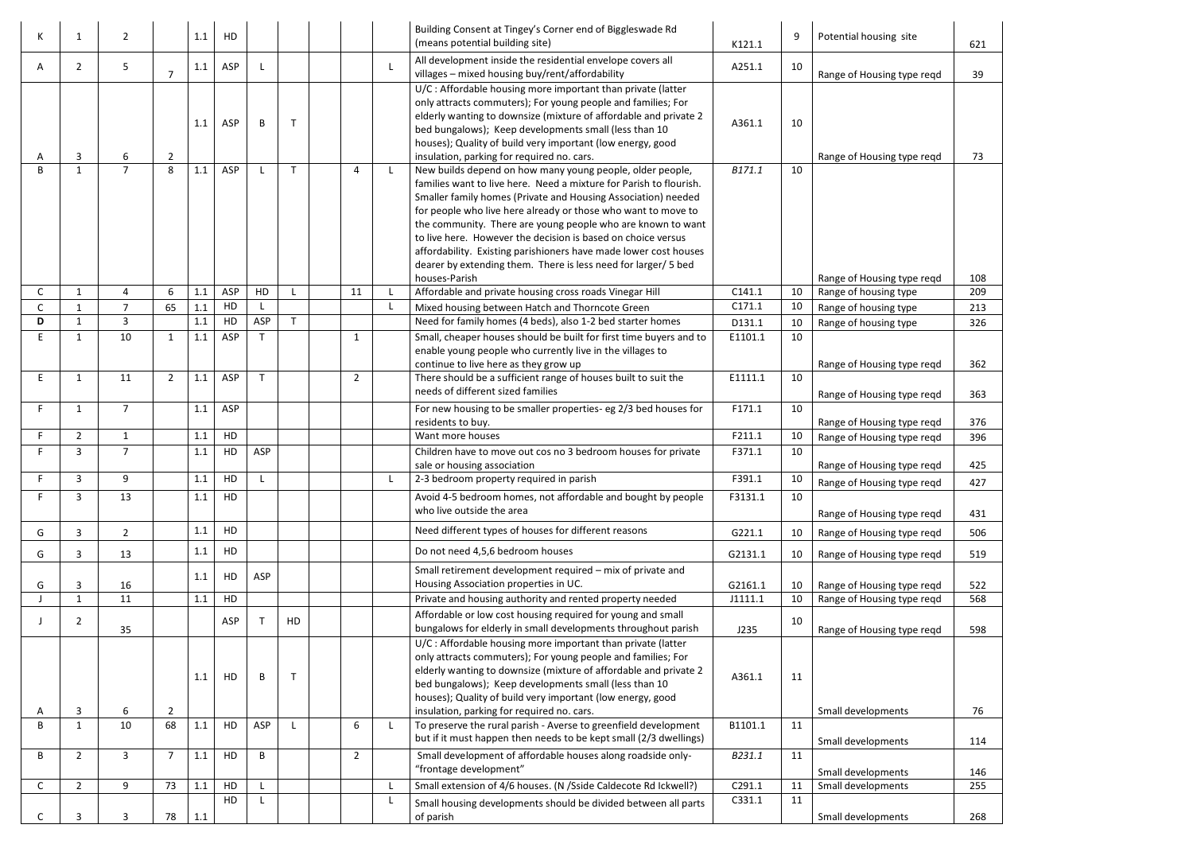| K | 1              | $\overline{2}$ |                | 1.1            | HD                |                              |    |                      |              | Building Consent at Tingey's Corner end of Biggleswade Rd<br>(means potential building site)                                                                                                                                                                                                                                                                                                                                                                                                                                                            | K121.1             | 9        | Potential housing site                                   | 621        |
|---|----------------|----------------|----------------|----------------|-------------------|------------------------------|----|----------------------|--------------|---------------------------------------------------------------------------------------------------------------------------------------------------------------------------------------------------------------------------------------------------------------------------------------------------------------------------------------------------------------------------------------------------------------------------------------------------------------------------------------------------------------------------------------------------------|--------------------|----------|----------------------------------------------------------|------------|
| A | $\overline{2}$ | 5              | $\overline{7}$ | 1.1            | ASP               | L                            |    |                      | L            | All development inside the residential envelope covers all<br>villages - mixed housing buy/rent/affordability                                                                                                                                                                                                                                                                                                                                                                                                                                           | A251.1             | 10       |                                                          |            |
|   | 3              | 6              | $\overline{2}$ | 1.1            | ASP               | B                            |    |                      |              | U/C: Affordable housing more important than private (latter<br>only attracts commuters); For young people and families; For<br>elderly wanting to downsize (mixture of affordable and private 2<br>bed bungalows); Keep developments small (less than 10<br>houses); Quality of build very important (low energy, good<br>insulation, parking for required no. cars.                                                                                                                                                                                    | A361.1             | 10       | Range of Housing type reqd<br>Range of Housing type regd | 39<br>73   |
| B | $\mathbf{1}$   | $\overline{7}$ | 8              | 1.1            | ASP               | L                            | T  | 4                    | L.           | New builds depend on how many young people, older people,<br>families want to live here. Need a mixture for Parish to flourish.<br>Smaller family homes (Private and Housing Association) needed<br>for people who live here already or those who want to move to<br>the community. There are young people who are known to want<br>to live here. However the decision is based on choice versus<br>affordability. Existing parishioners have made lower cost houses<br>dearer by extending them. There is less need for larger/ 5 bed<br>houses-Parish | B171.1             | 10       | Range of Housing type regd                               | 108        |
| C | 1              | 4              | 6              | 1.1            | ASP               | HD                           |    | 11                   | $\mathsf{L}$ | Affordable and private housing cross roads Vinegar Hill                                                                                                                                                                                                                                                                                                                                                                                                                                                                                                 | C141.1             | 10       | Range of housing type                                    | 209        |
|   | 1              | 7              | 65             | 1.1            | HD                | $\mathsf{L}$                 |    |                      | L.           | Mixed housing between Hatch and Thorncote Green                                                                                                                                                                                                                                                                                                                                                                                                                                                                                                         | C171.1             | 10       | Range of housing type                                    | 213        |
| D | $\mathbf{1}$   | 3              |                | 1.1            | HD                | ASP                          | T  |                      |              | Need for family homes (4 beds), also 1-2 bed starter homes                                                                                                                                                                                                                                                                                                                                                                                                                                                                                              | D131.1             | 10       | Range of housing type                                    | 326        |
| Е | 1<br>1         | 10<br>11       | 1<br>2         | 1.1<br>$1.1\,$ | <b>ASP</b><br>ASP | $\mathsf{T}$<br>$\mathsf{T}$ |    | -1<br>$\overline{2}$ |              | Small, cheaper houses should be built for first time buyers and to<br>enable young people who currently live in the villages to<br>continue to live here as they grow up<br>There should be a sufficient range of houses built to suit the                                                                                                                                                                                                                                                                                                              | E1101.1<br>E1111.1 | 10<br>10 | Range of Housing type reqd                               | 362        |
|   |                |                |                |                |                   |                              |    |                      |              | needs of different sized families                                                                                                                                                                                                                                                                                                                                                                                                                                                                                                                       |                    |          | Range of Housing type reqd                               | 363        |
|   | $\mathbf{1}$   | $\overline{7}$ |                | 1.1            | ASP               |                              |    |                      |              | For new housing to be smaller properties- eg 2/3 bed houses for<br>residents to buy.                                                                                                                                                                                                                                                                                                                                                                                                                                                                    | F171.1             | 10       | Range of Housing type reqd                               | 376        |
|   | $\overline{2}$ | $\mathbf{1}$   |                | 1.1            | HD                |                              |    |                      |              | Want more houses                                                                                                                                                                                                                                                                                                                                                                                                                                                                                                                                        | F211.1             | 10       | Range of Housing type reqd                               | 396        |
|   | 3              | $\overline{7}$ |                | 1.1            | HD                | ASP                          |    |                      |              | Children have to move out cos no 3 bedroom houses for private<br>sale or housing association                                                                                                                                                                                                                                                                                                                                                                                                                                                            | F371.1             | 10       | Range of Housing type reqd                               | 425        |
|   | 3              | 9              |                | 1.1            | HD                | L                            |    |                      | L            | 2-3 bedroom property required in parish                                                                                                                                                                                                                                                                                                                                                                                                                                                                                                                 | F391.1             | 10       | Range of Housing type regd                               | 427        |
|   | 3              | 13             |                | 1.1            | HD                |                              |    |                      |              | Avoid 4-5 bedroom homes, not affordable and bought by people<br>who live outside the area                                                                                                                                                                                                                                                                                                                                                                                                                                                               | F3131.1            | 10       | Range of Housing type reqd                               | 431        |
| G | 3              | $2^{\circ}$    |                | 1.1            | HD                |                              |    |                      |              | Need different types of houses for different reasons                                                                                                                                                                                                                                                                                                                                                                                                                                                                                                    | G221.1             | 10       | Range of Housing type reqd                               | 506        |
| G | 3              | 13             |                | 1.1            | HD                |                              |    |                      |              | Do not need 4,5,6 bedroom houses                                                                                                                                                                                                                                                                                                                                                                                                                                                                                                                        | G2131.1            | 10       | Range of Housing type reqd                               | 519        |
| G | 3              | 16             |                | 1.1            | HD                | ASP                          |    |                      |              | Small retirement development required - mix of private and<br>Housing Association properties in UC.                                                                                                                                                                                                                                                                                                                                                                                                                                                     | G2161.1            | 10       | Range of Housing type reqd                               | 522        |
|   | $\mathbf{1}$   | 11             |                | 1.1            | HD                |                              |    |                      |              | Private and housing authority and rented property needed                                                                                                                                                                                                                                                                                                                                                                                                                                                                                                | J1111.1            | 10       | Range of Housing type reqd                               | 568        |
|   | $\overline{2}$ | 35             |                |                | ASP               | $\mathsf{T}$                 | HD |                      |              | Affordable or low cost housing required for young and small<br>bungalows for elderly in small developments throughout parish                                                                                                                                                                                                                                                                                                                                                                                                                            | J235               | 10       | Range of Housing type reqd                               | 598        |
| А | $\mathbf{3}$   | 6              | $\overline{2}$ | 1.1            | HD                | B                            |    |                      |              | U/C: Affordable housing more important than private (latter<br>only attracts commuters); For young people and families; For<br>elderly wanting to downsize (mixture of affordable and private 2<br>bed bungalows); Keep developments small (less than 10<br>houses); Quality of build very important (low energy, good<br>insulation, parking for required no. cars.                                                                                                                                                                                    | A361.1             | 11       | Small developments                                       | 76         |
| В | $\mathbf{1}$   | 10             | 68             | $1.1\,$        | HD                | ASP                          |    | 6                    | $\mathsf{L}$ | To preserve the rural parish - Averse to greenfield development                                                                                                                                                                                                                                                                                                                                                                                                                                                                                         | B1101.1            | 11       |                                                          |            |
|   |                |                |                |                |                   |                              |    |                      |              | but if it must happen then needs to be kept small (2/3 dwellings)                                                                                                                                                                                                                                                                                                                                                                                                                                                                                       |                    |          | Small developments                                       | 114        |
| В | $\overline{2}$ | 3              | $\overline{7}$ | 1.1            | HD                | B                            |    | $\overline{2}$       |              | Small development of affordable houses along roadside only-<br>"frontage development"                                                                                                                                                                                                                                                                                                                                                                                                                                                                   | B231.1             | 11       |                                                          |            |
| С | $\overline{2}$ | 9              | 73             | 1.1            | HD                | L                            |    |                      | L            | Small extension of 4/6 houses. (N /Sside Caldecote Rd Ickwell?)                                                                                                                                                                                                                                                                                                                                                                                                                                                                                         | C291.1             | 11       | Small developments<br>Small developments                 | 146<br>255 |
|   |                |                |                |                | HD                | L                            |    |                      | L            | Small housing developments should be divided between all parts                                                                                                                                                                                                                                                                                                                                                                                                                                                                                          | C331.1             | 11       |                                                          |            |
|   | 3              | 3              | 78             | 1.1            |                   |                              |    |                      |              | of parish                                                                                                                                                                                                                                                                                                                                                                                                                                                                                                                                               |                    |          | Small developments                                       | 268        |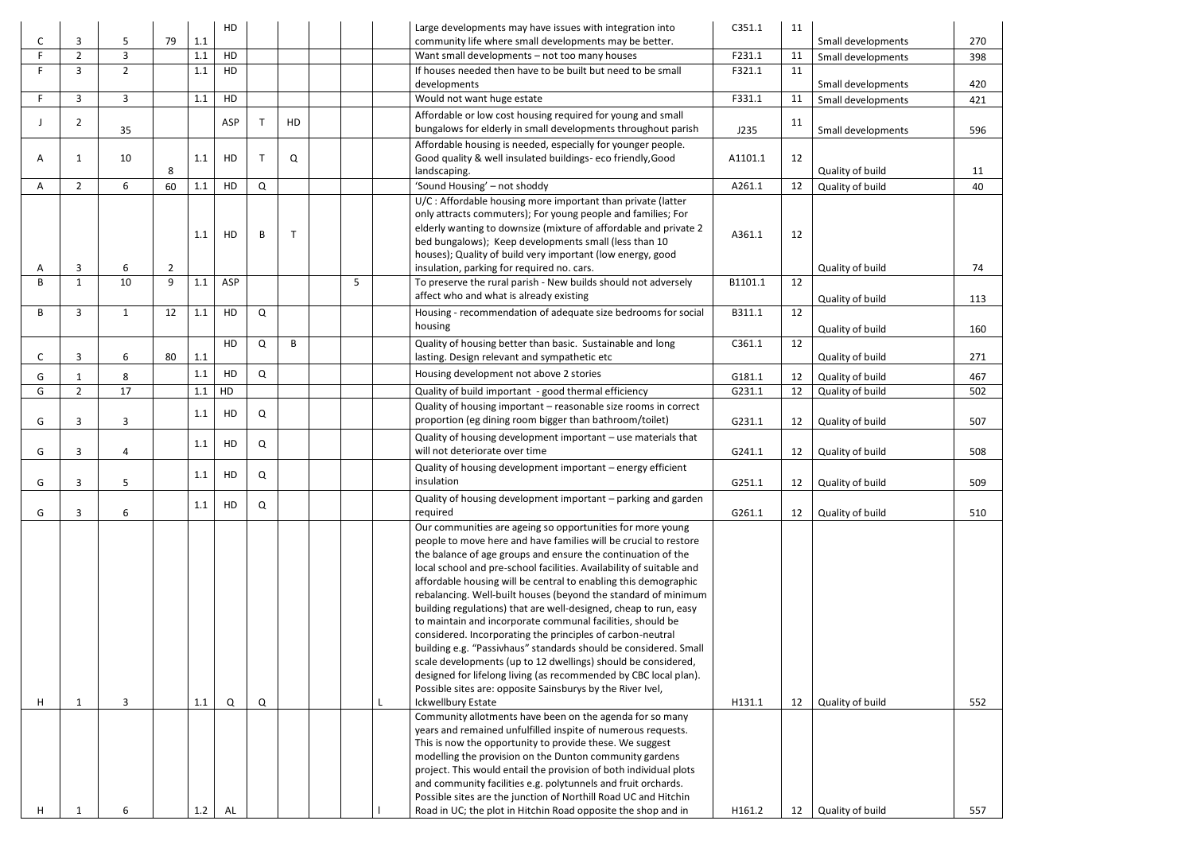|   |                |              |                | HD         |                    |    | Large developments may have issues with integration into                                                                           | C351.1  | 11 |                    |     |
|---|----------------|--------------|----------------|------------|--------------------|----|------------------------------------------------------------------------------------------------------------------------------------|---------|----|--------------------|-----|
| C | 3              | 5            | 79<br>1.1      |            |                    |    | community life where small developments may be better.                                                                             |         |    | Small developments | 270 |
|   | $\overline{2}$ | 3            | 1.1            | HD         |                    |    | Want small developments - not too many houses                                                                                      | F231.1  | 11 | Small developments | 398 |
|   | 3              | $2^{\circ}$  | 1.1            | HD         |                    |    | If houses needed then have to be built but need to be small<br>developments                                                        | F321.1  | 11 | Small developments | 420 |
|   | 3              | 3            | 1.1            | HD         |                    |    | Would not want huge estate                                                                                                         | F331.1  | 11 | Small developments | 421 |
|   |                |              |                | ASP        | $\mathsf{T}$<br>HD |    | Affordable or low cost housing required for young and small                                                                        |         | 11 |                    |     |
|   | $\overline{2}$ | 35           |                |            |                    |    | bungalows for elderly in small developments throughout parish                                                                      | J235    |    | Small developments | 596 |
|   |                |              |                |            | T                  |    | Affordable housing is needed, especially for younger people.                                                                       |         |    |                    |     |
| A | -1             | 10           | 1.1<br>8       | HD         | Q                  |    | Good quality & well insulated buildings-eco friendly, Good<br>landscaping.                                                         | A1101.1 | 12 | Quality of build   | 11  |
| Α | $\overline{2}$ | 6            | 1.1<br>60      | HD         | Q                  |    | 'Sound Housing' - not shoddy                                                                                                       | A261.1  | 12 | Quality of build   | 40  |
|   |                |              |                |            |                    |    | U/C: Affordable housing more important than private (latter                                                                        |         |    |                    |     |
|   |                |              |                |            |                    |    | only attracts commuters); For young people and families; For                                                                       |         |    |                    |     |
|   |                |              | 1.1            | HD         | B<br>$\mathsf{T}$  |    | elderly wanting to downsize (mixture of affordable and private 2                                                                   | A361.1  | 12 |                    |     |
|   |                |              |                |            |                    |    | bed bungalows); Keep developments small (less than 10                                                                              |         |    |                    |     |
| A | 3              | 6            | $\overline{2}$ |            |                    |    | houses); Quality of build very important (low energy, good<br>insulation, parking for required no. cars.                           |         |    | Quality of build   | 74  |
| B | $\mathbf{1}$   | 10           | 9<br>1.1       | <b>ASP</b> |                    | .5 | To preserve the rural parish - New builds should not adversely                                                                     | B1101.1 | 12 |                    |     |
|   |                |              |                |            |                    |    | affect who and what is already existing                                                                                            |         |    | Quality of build   | 113 |
| B | 3              | $\mathbf{1}$ | 12<br>1.1      | HD         | Q                  |    | Housing - recommendation of adequate size bedrooms for social                                                                      | B311.1  | 12 |                    |     |
|   |                |              |                |            |                    |    | housing                                                                                                                            |         |    | Quality of build   | 160 |
|   |                |              |                | HD         | Q<br>B             |    | Quality of housing better than basic. Sustainable and long                                                                         | C361.1  | 12 |                    |     |
| C | 3              | 6            | 1.1<br>80      |            |                    |    | lasting. Design relevant and sympathetic etc                                                                                       |         |    | Quality of build   | 271 |
| G |                | 8            | 1.1            | HD         | Q                  |    | Housing development not above 2 stories                                                                                            | G181.1  | 12 | Quality of build   | 467 |
| G | $\overline{2}$ | 17           | 1.1            | HD         |                    |    | Quality of build important - good thermal efficiency                                                                               | G231.1  | 12 | Quality of build   | 502 |
|   |                |              | 1.1            | HD         | Q                  |    | Quality of housing important - reasonable size rooms in correct                                                                    |         |    |                    |     |
| G | 3              | 3            |                |            |                    |    | proportion (eg dining room bigger than bathroom/toilet)                                                                            | G231.1  | 12 | Quality of build   | 507 |
|   |                |              | 1.1            | HD         | Q                  |    | Quality of housing development important - use materials that<br>will not deteriorate over time                                    |         |    |                    |     |
| G | 3              | 4            |                |            |                    |    |                                                                                                                                    | G241.1  | 12 | Quality of build   | 508 |
| G | 3              | 5            | 1.1            | HD         | Q                  |    | Quality of housing development important - energy efficient<br>insulation                                                          | G251.1  | 12 | Quality of build   | 509 |
|   |                |              |                |            |                    |    | Quality of housing development important - parking and garden                                                                      |         |    |                    |     |
| G | 3              | 6            | 1.1            | HD         | Q                  |    | required                                                                                                                           | G261.1  | 12 | Quality of build   | 510 |
|   |                |              |                |            |                    |    | Our communities are ageing so opportunities for more young                                                                         |         |    |                    |     |
|   |                |              |                |            |                    |    | people to move here and have families will be crucial to restore                                                                   |         |    |                    |     |
|   |                |              |                |            |                    |    | the balance of age groups and ensure the continuation of the                                                                       |         |    |                    |     |
|   |                |              |                |            |                    |    | local school and pre-school facilities. Availability of suitable and                                                               |         |    |                    |     |
|   |                |              |                |            |                    |    | affordable housing will be central to enabling this demographic<br>rebalancing. Well-built houses (beyond the standard of minimum  |         |    |                    |     |
|   |                |              |                |            |                    |    | building regulations) that are well-designed, cheap to run, easy                                                                   |         |    |                    |     |
|   |                |              |                |            |                    |    | to maintain and incorporate communal facilities, should be                                                                         |         |    |                    |     |
|   |                |              |                |            |                    |    | considered. Incorporating the principles of carbon-neutral                                                                         |         |    |                    |     |
|   |                |              |                |            |                    |    | building e.g. "Passivhaus" standards should be considered. Small                                                                   |         |    |                    |     |
|   |                |              |                |            |                    |    | scale developments (up to 12 dwellings) should be considered,                                                                      |         |    |                    |     |
|   |                |              |                |            |                    |    | designed for lifelong living (as recommended by CBC local plan).<br>Possible sites are: opposite Sainsburys by the River Ivel,     |         |    |                    |     |
| н | -1             | 3            | 1.1            | Q          | Q                  |    | <b>Ickwellbury Estate</b>                                                                                                          | H131.1  | 12 | Quality of build   | 552 |
|   |                |              |                |            |                    |    | Community allotments have been on the agenda for so many                                                                           |         |    |                    |     |
|   |                |              |                |            |                    |    | years and remained unfulfilled inspite of numerous requests.                                                                       |         |    |                    |     |
|   |                |              |                |            |                    |    | This is now the opportunity to provide these. We suggest                                                                           |         |    |                    |     |
|   |                |              |                |            |                    |    | modelling the provision on the Dunton community gardens                                                                            |         |    |                    |     |
|   |                |              |                |            |                    |    | project. This would entail the provision of both individual plots<br>and community facilities e.g. polytunnels and fruit orchards. |         |    |                    |     |
|   |                |              |                |            |                    |    | Possible sites are the junction of Northill Road UC and Hitchin                                                                    |         |    |                    |     |
| н |                | 6            | 1.2            | AL         |                    |    | Road in UC; the plot in Hitchin Road opposite the shop and in                                                                      | H161.2  | 12 | Quality of build   | 557 |
|   |                |              |                |            |                    |    |                                                                                                                                    |         |    |                    |     |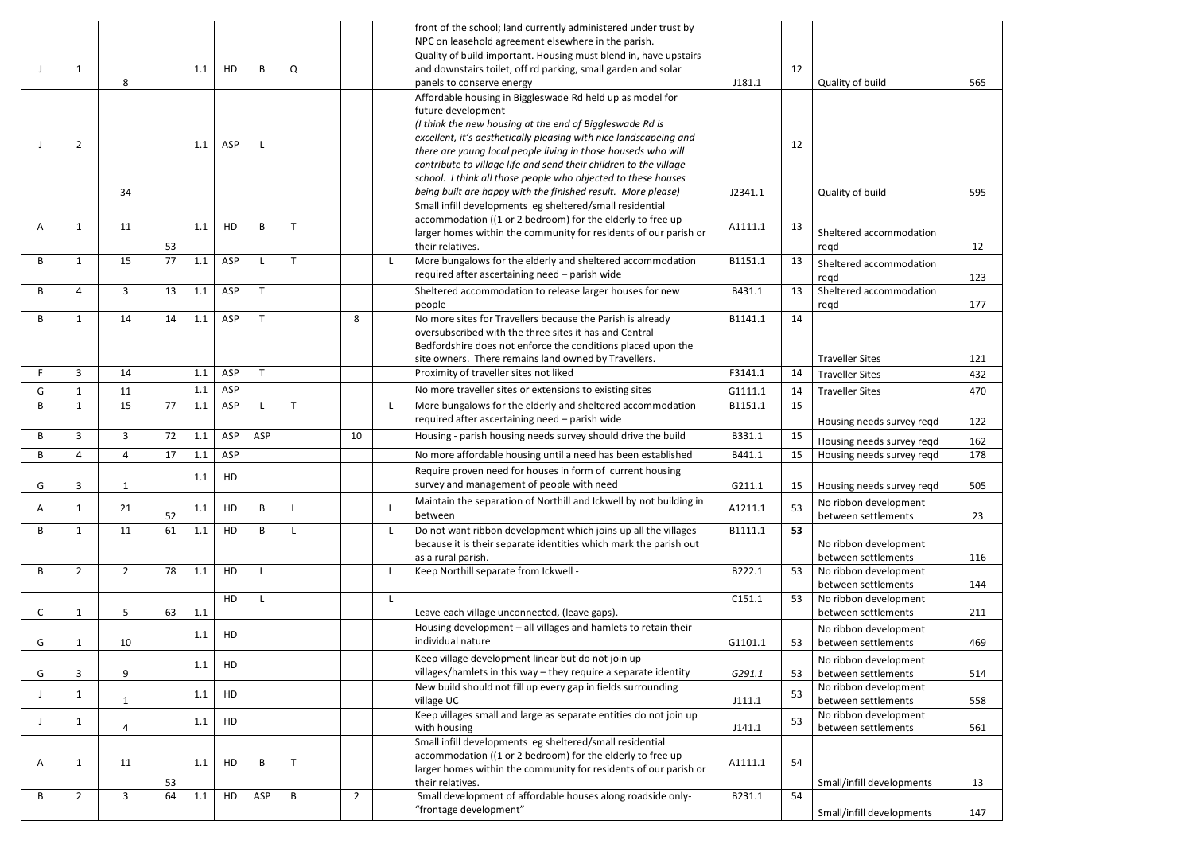|   |                |                |    |         |     |              |              |                |              | front of the school; land currently administered under trust by<br>NPC on leasehold agreement elsewhere in the parish. |         |    |                                              |     |
|---|----------------|----------------|----|---------|-----|--------------|--------------|----------------|--------------|------------------------------------------------------------------------------------------------------------------------|---------|----|----------------------------------------------|-----|
|   |                |                |    |         |     |              |              |                |              | Quality of build important. Housing must blend in, have upstairs                                                       |         |    |                                              |     |
|   | $\mathbf{1}$   |                |    | 1.1     | HD  | B            | Q            |                |              | and downstairs toilet, off rd parking, small garden and solar                                                          |         | 12 |                                              |     |
|   |                | 8              |    |         |     |              |              |                |              | panels to conserve energy                                                                                              | J181.1  |    | Quality of build                             | 565 |
|   |                |                |    |         |     |              |              |                |              | Affordable housing in Biggleswade Rd held up as model for                                                              |         |    |                                              |     |
|   |                |                |    |         |     |              |              |                |              | future development                                                                                                     |         |    |                                              |     |
|   |                |                |    |         |     |              |              |                |              | (I think the new housing at the end of Biggleswade Rd is                                                               |         |    |                                              |     |
|   |                |                |    |         |     |              |              |                |              | excellent, it's aesthetically pleasing with nice landscapeing and                                                      |         |    |                                              |     |
|   | $\overline{2}$ |                |    | 1.1     | ASP | $\mathbf{I}$ |              |                |              | there are young local people living in those houseds who will                                                          |         | 12 |                                              |     |
|   |                |                |    |         |     |              |              |                |              | contribute to village life and send their children to the village                                                      |         |    |                                              |     |
|   |                |                |    |         |     |              |              |                |              | school. I think all those people who objected to these houses                                                          |         |    |                                              |     |
|   |                | 34             |    |         |     |              |              |                |              | being built are happy with the finished result. More please)                                                           | J2341.1 |    | Quality of build                             | 595 |
|   |                |                |    |         |     |              |              |                |              | Small infill developments eg sheltered/small residential                                                               |         |    |                                              |     |
| А | 1              | 11             |    | 1.1     | HD  | B            | $\mathsf{T}$ |                |              | accommodation ((1 or 2 bedroom) for the elderly to free up                                                             | A1111.1 | 13 |                                              |     |
|   |                |                |    |         |     |              |              |                |              | larger homes within the community for residents of our parish or                                                       |         |    | Sheltered accommodation                      |     |
|   |                |                | 53 |         |     |              |              |                |              | their relatives.                                                                                                       |         |    | regd                                         | 12  |
| B | $\mathbf{1}$   | 15             | 77 | 1.1     | ASP | L            | $\mathsf{T}$ |                | L.           | More bungalows for the elderly and sheltered accommodation                                                             | B1151.1 | 13 | Sheltered accommodation                      |     |
|   |                |                |    |         |     |              |              |                |              | required after ascertaining need - parish wide                                                                         |         |    | regd                                         | 123 |
| В | 4              | 3              | 13 | 1.1     | ASP | $\mathsf{T}$ |              |                |              | Sheltered accommodation to release larger houses for new                                                               | B431.1  | 13 | Sheltered accommodation                      |     |
|   |                |                |    |         |     |              |              |                |              | people                                                                                                                 |         |    | regd                                         | 177 |
| B | 1              | 14             | 14 | 1.1     | ASP | $\mathsf{T}$ |              | 8              |              | No more sites for Travellers because the Parish is already                                                             | B1141.1 | 14 |                                              |     |
|   |                |                |    |         |     |              |              |                |              | oversubscribed with the three sites it has and Central                                                                 |         |    |                                              |     |
|   |                |                |    |         |     |              |              |                |              | Bedfordshire does not enforce the conditions placed upon the                                                           |         |    |                                              |     |
|   |                |                |    |         |     |              |              |                |              | site owners. There remains land owned by Travellers.                                                                   |         |    | <b>Traveller Sites</b>                       | 121 |
|   | $\overline{3}$ | 14             |    | 1.1     | ASP | $\mathsf{T}$ |              |                |              | Proximity of traveller sites not liked                                                                                 | F3141.1 | 14 | <b>Traveller Sites</b>                       | 432 |
| G | 1              | 11             |    | 1.1     | ASP |              |              |                |              | No more traveller sites or extensions to existing sites                                                                | G1111.1 | 14 | <b>Traveller Sites</b>                       | 470 |
| B | $\mathbf{1}$   | 15             | 77 | 1.1     | ASP | -L           | $\mathsf{T}$ |                | $\mathsf{L}$ | More bungalows for the elderly and sheltered accommodation                                                             | B1151.1 | 15 |                                              |     |
|   |                |                |    |         |     |              |              |                |              | required after ascertaining need - parish wide                                                                         |         |    | Housing needs survey reqd                    | 122 |
| B | $\overline{3}$ | 3              | 72 | 1.1     | ASP | ASP          |              | 10             |              | Housing - parish housing needs survey should drive the build                                                           | B331.1  | 15 | Housing needs survey reqd                    | 162 |
| В | 4              | 4              | 17 | 1.1     | ASP |              |              |                |              | No more affordable housing until a need has been established                                                           | B441.1  | 15 | Housing needs survey reqd                    | 178 |
|   |                |                |    |         |     |              |              |                |              | Require proven need for houses in form of current housing                                                              |         |    |                                              |     |
| G | 3              | $\mathbf{1}$   |    | 1.1     | HD  |              |              |                |              | survey and management of people with need                                                                              | G211.1  | 15 | Housing needs survey regd                    | 505 |
|   |                |                |    |         |     |              |              |                |              | Maintain the separation of Northill and Ickwell by not building in                                                     |         |    |                                              |     |
| A | 1              | 21             | 52 | 1.1     | HD  | B            |              |                |              | between                                                                                                                | A1211.1 | 53 | No ribbon development<br>between settlements | 23  |
| B | 1              | 11             | 61 | 1.1     | HD  | B            |              |                |              | Do not want ribbon development which joins up all the villages                                                         | B1111.1 | 53 |                                              |     |
|   |                |                |    |         |     |              |              |                |              | because it is their separate identities which mark the parish out                                                      |         |    | No ribbon development                        |     |
|   |                |                |    |         |     |              |              |                |              | as a rural parish.                                                                                                     |         |    | between settlements                          | 116 |
| В | $\overline{2}$ | $\overline{2}$ | 78 | $1.1\,$ | HD  | $\mathsf{L}$ |              |                |              | Keep Northill separate from Ickwell -                                                                                  | B222.1  | 53 | No ribbon development                        |     |
|   |                |                |    |         |     |              |              |                |              |                                                                                                                        |         |    | between settlements                          | 144 |
|   |                |                |    |         | HD  | $\mathsf{L}$ |              |                | L.           |                                                                                                                        | C151.1  | 53 | No ribbon development                        |     |
| С | $\mathbf{1}$   | 5              | 63 | 1.1     |     |              |              |                |              | Leave each village unconnected, (leave gaps).                                                                          |         |    | between settlements                          | 211 |
|   |                |                |    |         |     |              |              |                |              | Housing development - all villages and hamlets to retain their                                                         |         |    | No ribbon development                        |     |
| G | $\mathbf{1}$   | 10             |    | 1.1     | HD  |              |              |                |              | individual nature                                                                                                      | G1101.1 | 53 | between settlements                          | 469 |
|   |                |                |    |         |     |              |              |                |              | Keep village development linear but do not join up                                                                     |         |    | No ribbon development                        |     |
| G | 3              | 9              |    | 1.1     | HD  |              |              |                |              | villages/hamlets in this way - they require a separate identity                                                        | G291.1  | 53 | between settlements                          | 514 |
|   |                |                |    |         |     |              |              |                |              | New build should not fill up every gap in fields surrounding                                                           |         |    | No ribbon development                        |     |
|   | 1              | $\mathbf{1}$   |    | 1.1     | HD  |              |              |                |              | village UC                                                                                                             | J111.1  | 53 | between settlements                          | 558 |
|   |                |                |    |         |     |              |              |                |              | Keep villages small and large as separate entities do not join up                                                      |         | 53 | No ribbon development                        |     |
|   | $\mathbf{1}$   | $\overline{4}$ |    | 1.1     | HD  |              |              |                |              | with housing                                                                                                           | J141.1  |    | between settlements                          | 561 |
|   |                |                |    |         |     |              |              |                |              | Small infill developments eg sheltered/small residential                                                               |         |    |                                              |     |
| А | $\mathbf{1}$   | 11             |    | 1.1     | HD  | B            | $\mathsf{T}$ |                |              | accommodation ((1 or 2 bedroom) for the elderly to free up                                                             | A1111.1 | 54 |                                              |     |
|   |                |                |    |         |     |              |              |                |              | larger homes within the community for residents of our parish or                                                       |         |    |                                              |     |
|   |                |                | 53 |         |     |              |              |                |              | their relatives.                                                                                                       |         |    | Small/infill developments                    | 13  |
| B | $\overline{2}$ | 3              | 64 | 1.1     | HD  | ASP          | B            | $\overline{2}$ |              | Small development of affordable houses along roadside only-                                                            | B231.1  | 54 |                                              |     |
|   |                |                |    |         |     |              |              |                |              | "frontage development"                                                                                                 |         |    | Small/infill developments                    | 147 |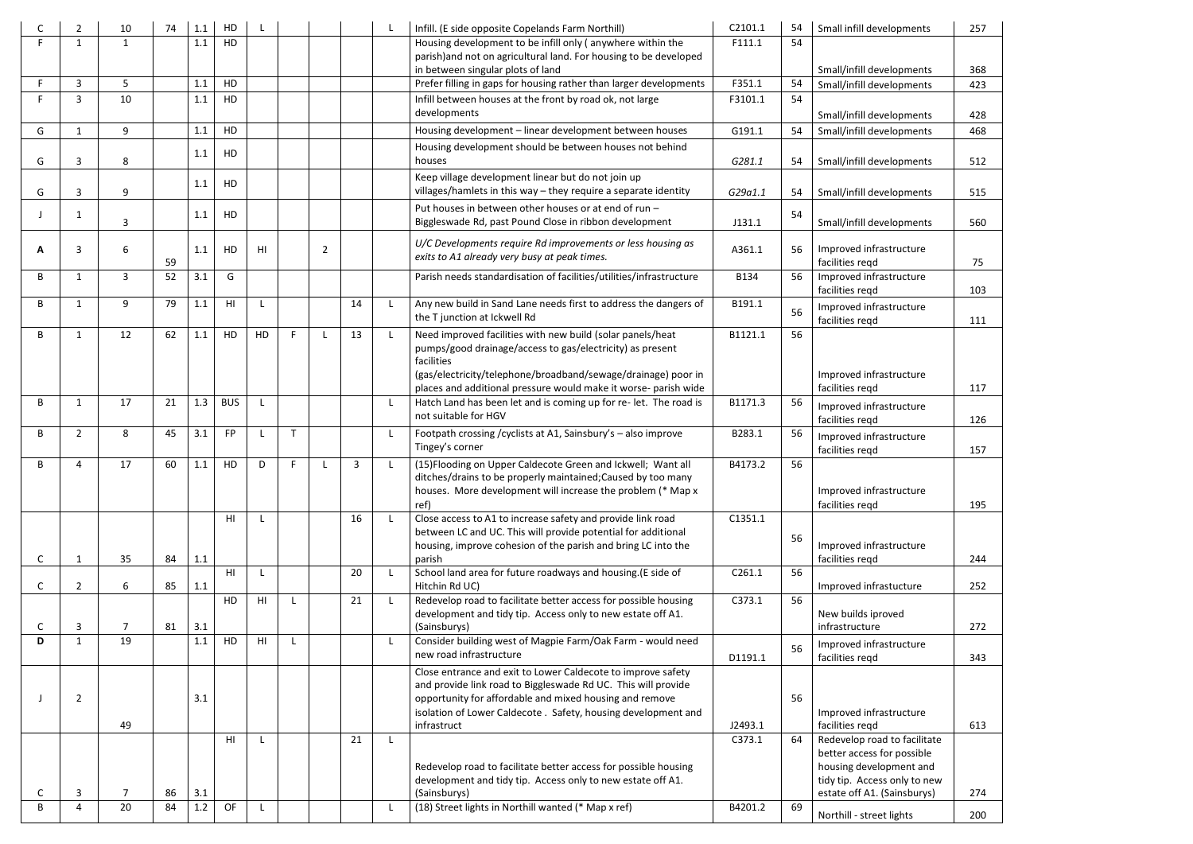|        | $\overline{2}$ | 10                   | 74 | 1.1        | HD              |    |   |                |               |              | Infill. (E side opposite Copelands Farm Northill)                                                                                                                                                   | C2101.1 | 54 | Small infill developments                                  | 257 |
|--------|----------------|----------------------|----|------------|-----------------|----|---|----------------|---------------|--------------|-----------------------------------------------------------------------------------------------------------------------------------------------------------------------------------------------------|---------|----|------------------------------------------------------------|-----|
|        | 1              | $\mathbf 1$          |    | 1.1        | HD              |    |   |                |               |              | Housing development to be infill only (anywhere within the<br>parish) and not on agricultural land. For housing to be developed                                                                     | F111.1  | 54 |                                                            |     |
|        |                |                      |    |            |                 |    |   |                |               |              | in between singular plots of land                                                                                                                                                                   |         |    | Small/infill developments                                  | 368 |
|        | 3              | 5                    |    | 1.1        | HD              |    |   |                |               |              | Prefer filling in gaps for housing rather than larger developments                                                                                                                                  | F351.1  | 54 | Small/infill developments                                  | 423 |
|        | 3              | 10                   |    | 1.1        | HD              |    |   |                |               |              | Infill between houses at the front by road ok, not large<br>developments                                                                                                                            | F3101.1 | 54 | Small/infill developments                                  | 428 |
| G      | $\mathbf{1}$   | 9                    |    | 1.1        | HD              |    |   |                |               |              | Housing development - linear development between houses                                                                                                                                             | G191.1  | 54 | Small/infill developments                                  | 468 |
| G      | 3              | 8                    |    | 1.1        | HD              |    |   |                |               |              | Housing development should be between houses not behind<br>houses                                                                                                                                   | G281.1  | 54 | Small/infill developments                                  | 512 |
|        |                |                      |    | 1.1        | HD              |    |   |                |               |              | Keep village development linear but do not join up                                                                                                                                                  |         |    |                                                            |     |
| G      | 3              | 9                    |    |            |                 |    |   |                |               |              | villages/hamlets in this way - they require a separate identity                                                                                                                                     | G29a1.1 | 54 | Small/infill developments                                  | 515 |
|        | -1             | 3                    |    | 1.1        | HD              |    |   |                |               |              | Put houses in between other houses or at end of run -<br>Biggleswade Rd, past Pound Close in ribbon development                                                                                     | J131.1  | 54 | Small/infill developments                                  | 560 |
| A      | 3              | 6                    | 59 | 1.1        | HD              | HI |   | $\overline{2}$ |               |              | U/C Developments require Rd improvements or less housing as<br>exits to A1 already very busy at peak times.                                                                                         | A361.1  | 56 | Improved infrastructure<br>facilities regd                 | 75  |
| B      | 1              | 3                    | 52 | 3.1        | G               |    |   |                |               |              | Parish needs standardisation of facilities/utilities/infrastructure                                                                                                                                 | B134    | 56 | Improved infrastructure<br>facilities regd                 | 103 |
| B      | -1             | 9                    | 79 | 1.1        | H <sub>II</sub> | L  |   |                | 14            |              | Any new build in Sand Lane needs first to address the dangers of<br>the T junction at Ickwell Rd                                                                                                    | B191.1  | 56 | Improved infrastructure<br>facilities regd                 | 111 |
| B      | -1             | 12                   | 62 | 1.1        | HD              | HD |   |                | 13            | $\mathsf{L}$ | Need improved facilities with new build (solar panels/heat<br>pumps/good drainage/access to gas/electricity) as present<br>facilities                                                               | B1121.1 | 56 |                                                            |     |
|        |                |                      |    |            |                 |    |   |                |               |              | (gas/electricity/telephone/broadband/sewage/drainage) poor in<br>places and additional pressure would make it worse- parish wide                                                                    |         |    | Improved infrastructure<br>facilities regd                 | 117 |
| B      | $\mathbf{1}$   | 17                   | 21 | 1.3        | <b>BUS</b>      | L  |   |                |               |              | Hatch Land has been let and is coming up for re- let. The road is<br>not suitable for HGV                                                                                                           | B1171.3 | 56 | Improved infrastructure<br>facilities regd                 | 126 |
| B      | $\overline{2}$ | 8                    | 45 | 3.1        | <b>FP</b>       | L  |   |                |               |              | Footpath crossing / cyclists at A1, Sainsbury's - also improve<br>Tingey's corner                                                                                                                   | B283.1  | 56 | Improved infrastructure<br>facilities regd                 | 157 |
| R      | Δ              | 17                   | 60 | 11         | HD.             | D. | Е |                | $\mathcal{R}$ |              | (15) Flooding on Upper Caldecote Green and Ickwell; Want all<br>ditches/drains to be properly maintained; Caused by too many<br>houses. More development will increase the problem (* Map x<br>ref) | B4173.2 | 56 | Improved infrastructure<br>facilities regd                 | 195 |
|        |                |                      |    |            | HI              |    |   |                | 16            | $\mathsf{L}$ | Close access to A1 to increase safety and provide link road                                                                                                                                         | C1351.1 |    |                                                            |     |
|        |                |                      |    |            |                 |    |   |                |               |              | between LC and UC. This will provide potential for additional<br>housing, improve cohesion of the parish and bring LC into the                                                                      |         | 56 | Improved infrastructure                                    |     |
| C      | -1             | 35                   | 84 | 1.1        |                 |    |   |                |               |              | parish                                                                                                                                                                                              |         |    | facilities regd                                            | 244 |
| C      | $\overline{2}$ | 6                    | 85 | 1.1        | H <sub>II</sub> | L  |   |                | 20            |              | School land area for future roadways and housing. (E side of<br>Hitchin Rd UC)                                                                                                                      | C261.1  | 56 | Improved infrastucture                                     | 252 |
|        |                |                      |    |            | HD              | HI |   |                | 21            |              | Redevelop road to facilitate better access for possible housing                                                                                                                                     | C373.1  | 56 |                                                            |     |
|        |                |                      |    |            |                 |    |   |                |               |              | development and tidy tip. Access only to new estate off A1.                                                                                                                                         |         |    | New builds iproved<br>infrastructure                       |     |
| C<br>D | 3<br>-1        | $\overline{7}$<br>19 | 81 | 3.1<br>1.1 | HD              | HI |   |                |               |              | (Sainsburys)<br>Consider building west of Magpie Farm/Oak Farm - would need                                                                                                                         |         |    |                                                            | 272 |
|        |                |                      |    |            |                 |    |   |                |               |              | new road infrastructure                                                                                                                                                                             | D1191.1 | 56 | Improved infrastructure<br>facilities regd                 | 343 |
|        |                |                      |    |            |                 |    |   |                |               |              | Close entrance and exit to Lower Caldecote to improve safety                                                                                                                                        |         |    |                                                            |     |
|        | 2              |                      |    | 3.1        |                 |    |   |                |               |              | and provide link road to Biggleswade Rd UC. This will provide<br>opportunity for affordable and mixed housing and remove                                                                            |         | 56 |                                                            |     |
|        |                |                      |    |            |                 |    |   |                |               |              | isolation of Lower Caldecote . Safety, housing development and                                                                                                                                      |         |    | Improved infrastructure                                    |     |
|        |                | 49                   |    |            |                 |    |   |                |               |              | infrastruct                                                                                                                                                                                         | J2493.1 |    | facilities regd                                            | 613 |
|        |                |                      |    |            | HI              |    |   |                | 21            |              |                                                                                                                                                                                                     | C373.1  | 64 | Redevelop road to facilitate<br>better access for possible |     |
|        |                |                      |    |            |                 |    |   |                |               |              | Redevelop road to facilitate better access for possible housing                                                                                                                                     |         |    | housing development and                                    |     |
|        |                |                      |    |            |                 |    |   |                |               |              | development and tidy tip. Access only to new estate off A1.                                                                                                                                         |         |    | tidy tip. Access only to new                               |     |
| C<br>B | 3<br>4         | 7                    | 86 | 3.1        |                 |    |   |                |               |              | (Sainsburys)                                                                                                                                                                                        |         |    | estate off A1. (Sainsburys)                                | 274 |
|        |                | 20                   | 84 | 1.2        | OF              | L  |   |                |               |              | (18) Street lights in Northill wanted (* Map x ref)                                                                                                                                                 | B4201.2 | 69 | Northill - street lights                                   | 200 |